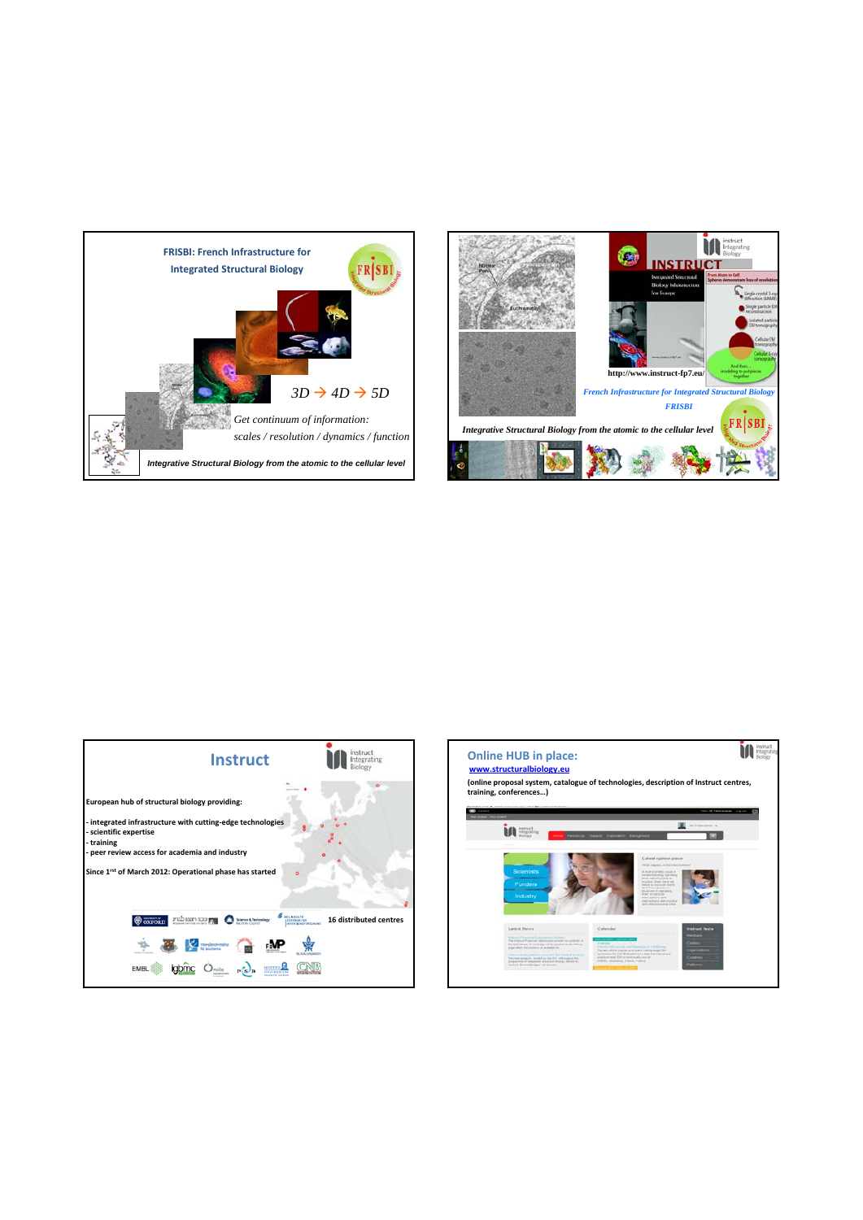



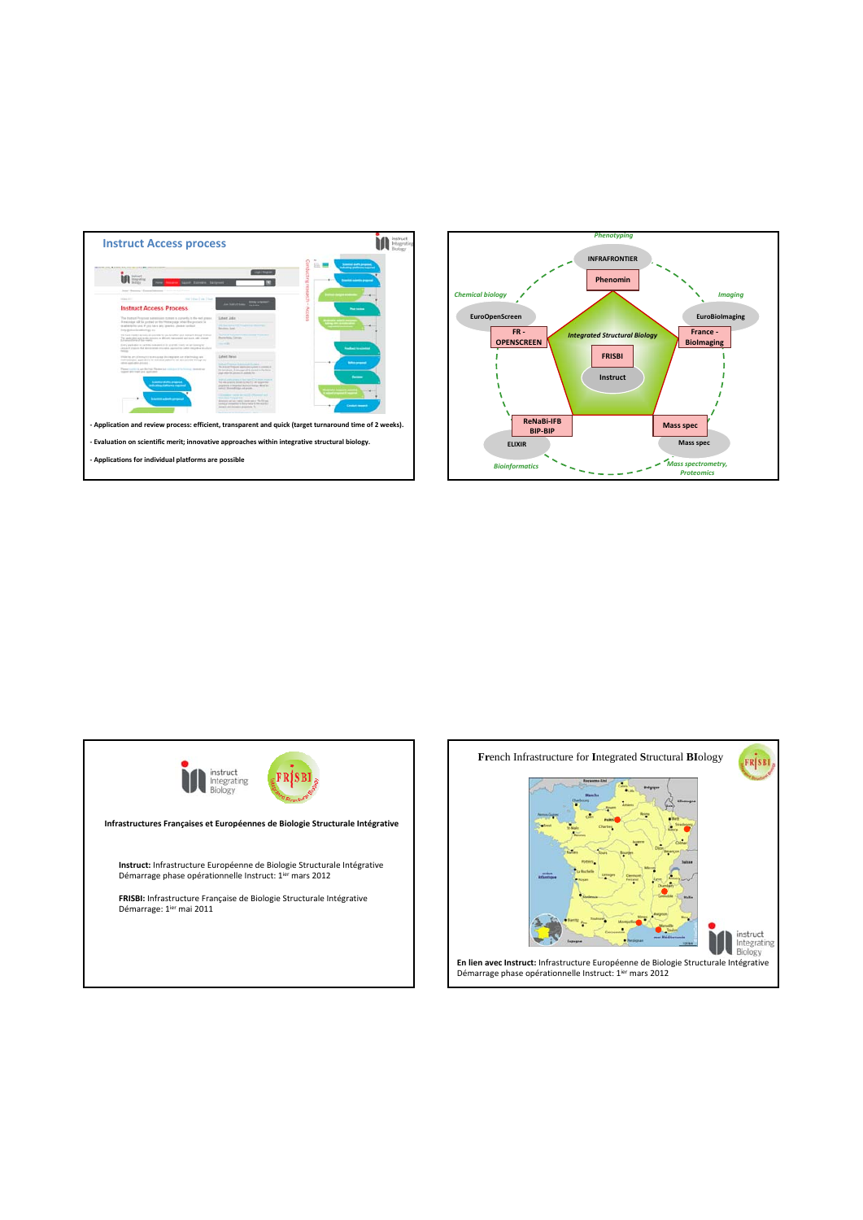





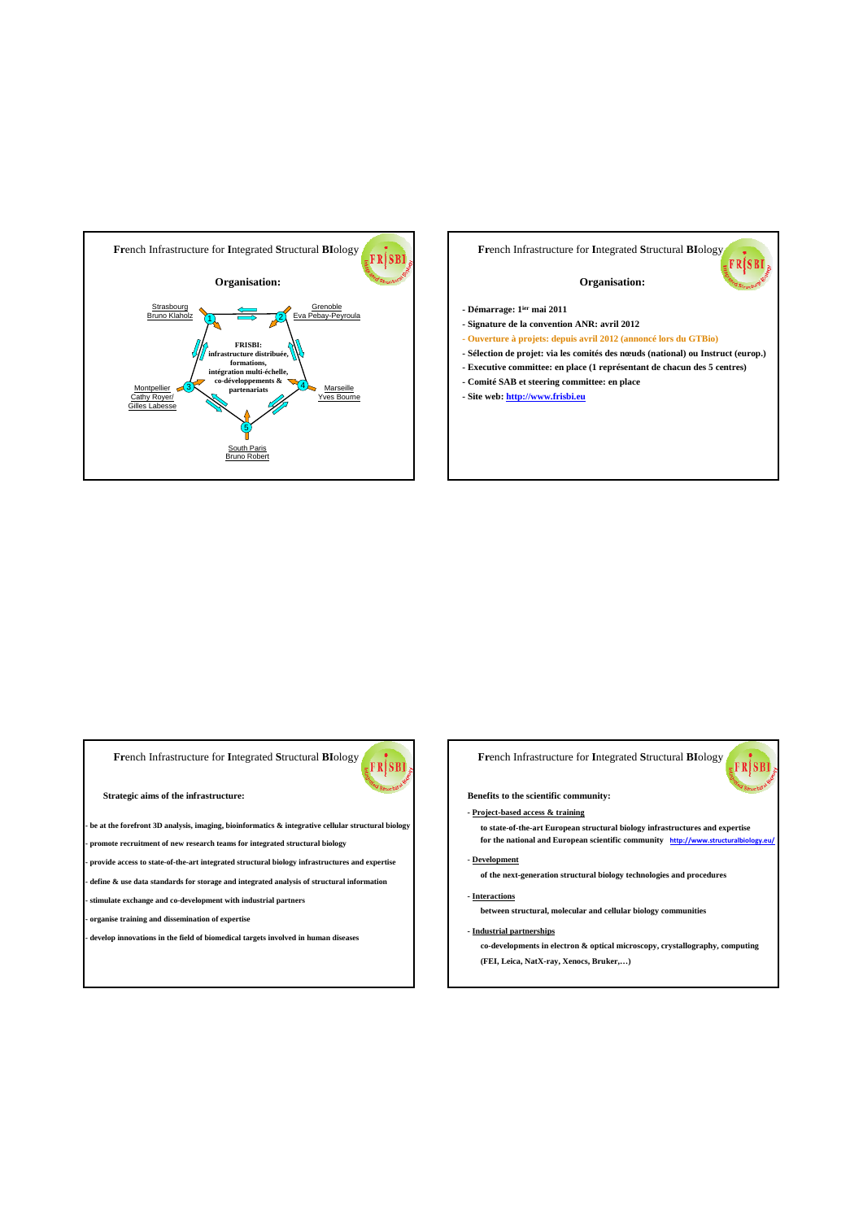

# **Fr**ench Infrastructure for **I**ntegrated **S**tructural **BI**ology FRISBI **Organisation: - Démarrage: 1ier mai 2011 - Signature de la convention ANR: avril 2012 - Ouverture à projets: depuis avril 2012 (annoncé lors du GTBio) - Sélection de projet: via les comités des nœuds (national) ou Instruct (europ.) - Executive committee: en place (1 représentant de chacun des 5 centres)**

- **Comité SAB et steering committee: en place**
- **Site web: http://www.frisbi.eu**

# **Fr**ench Infrastructure for **I**ntegrated **S**tructural **BI**ology

**Strategic aims of the infrastructure:**

**- be at the forefront 3D analysis, imaging, bioinformatics & integrative cellular structural biology**

**- promote recruitment of new research teams for integrated structural biology**

**- provide access to state-of-the-art integrated structural biology infrastructures and expertise - define & use data standards for storage and integrated analysis of structural information**

**- stimulate exchange and co-development with industrial partners**

**- organise training and dissemination of expertise**

**- develop innovations in the field of biomedical targets involved in human diseases** 



**Benefits to the scientific community:**

### **- Project-based access & training**

**to state-of-the-art European structural biology infrastructures and expertise**  for the national and European scientific community **http://www.structural** 

**of the next-generation structural biology technologies and procedures**

### **- Interactions**

- **Development**

FRJSBI

**between structural, molecular and cellular biology communities**

### **- Industrial partnerships**

**co-developments in electron & optical microscopy, crystallography, computing (FEI, Leica, NatX-ray, Xenocs, Bruker,…)**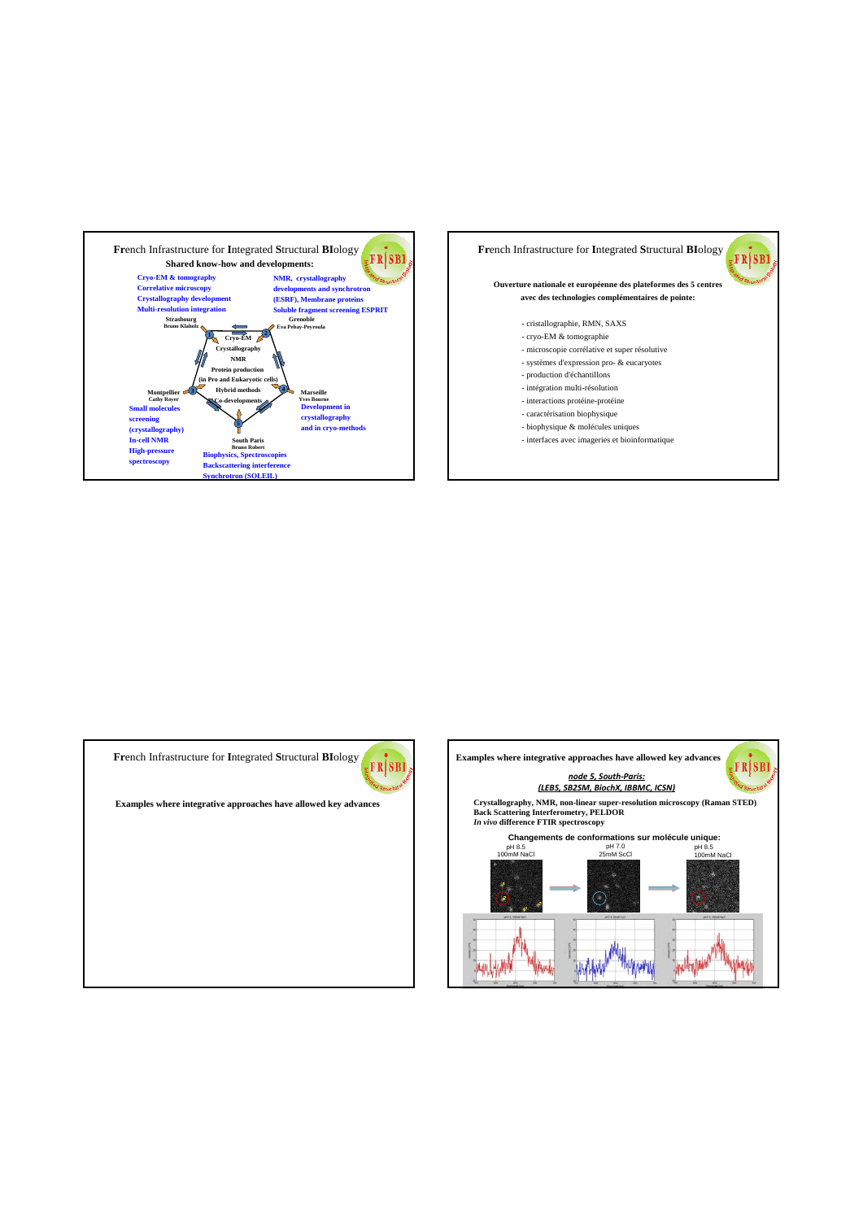





**Examples where integrative approaches have allowed key advances**

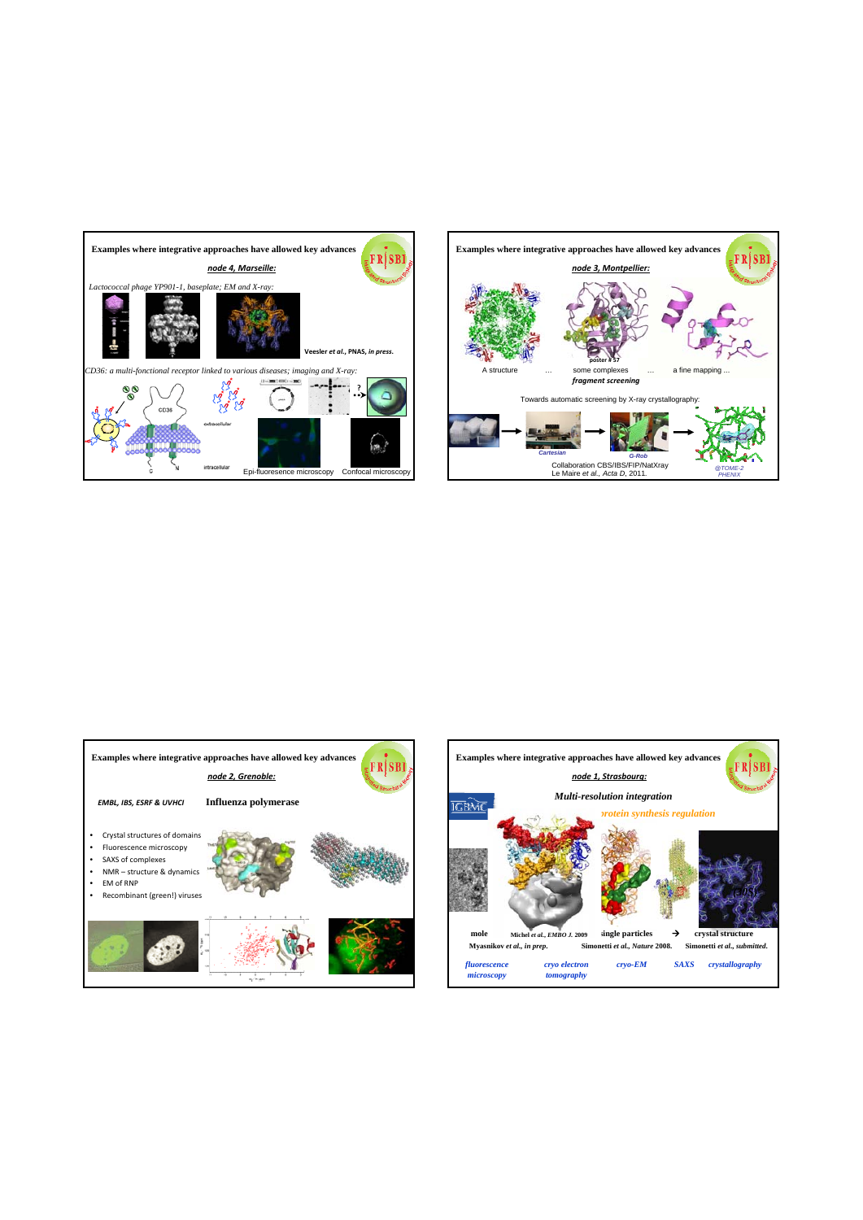





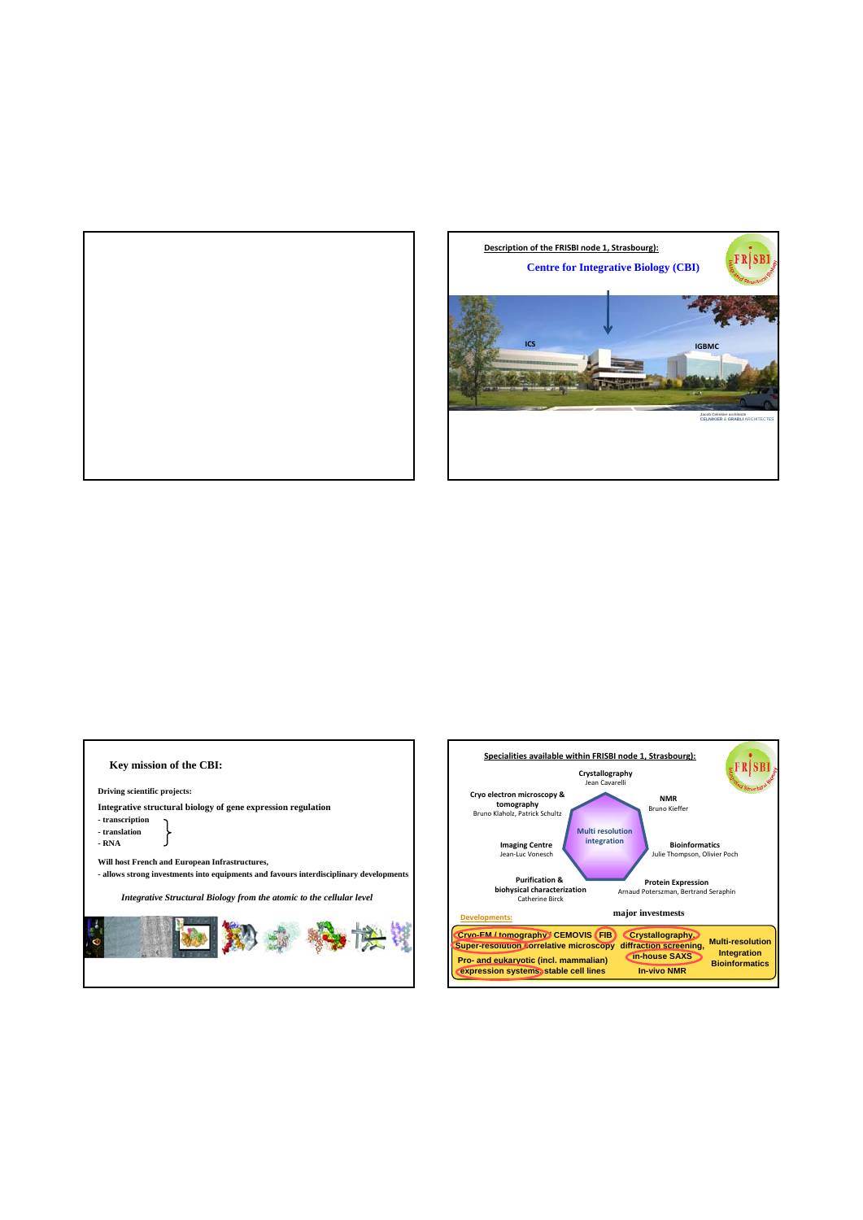





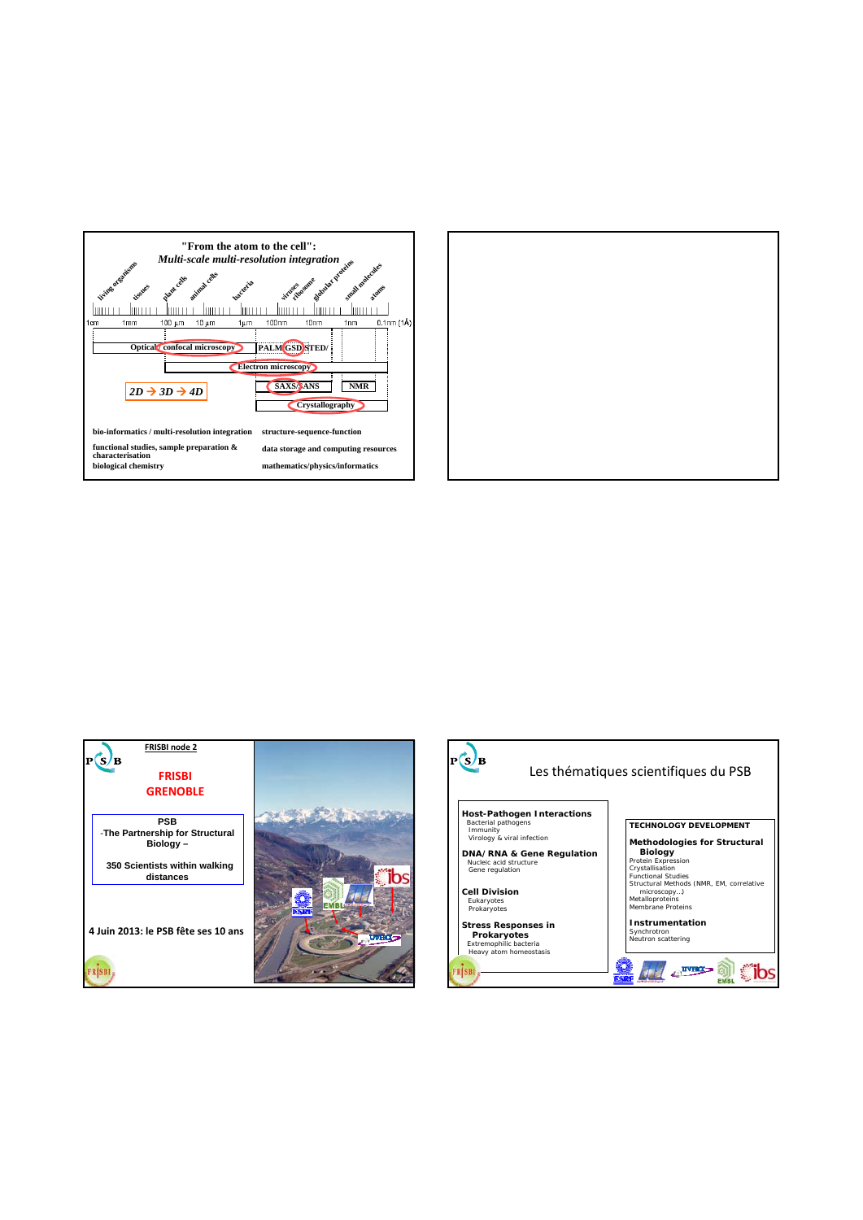





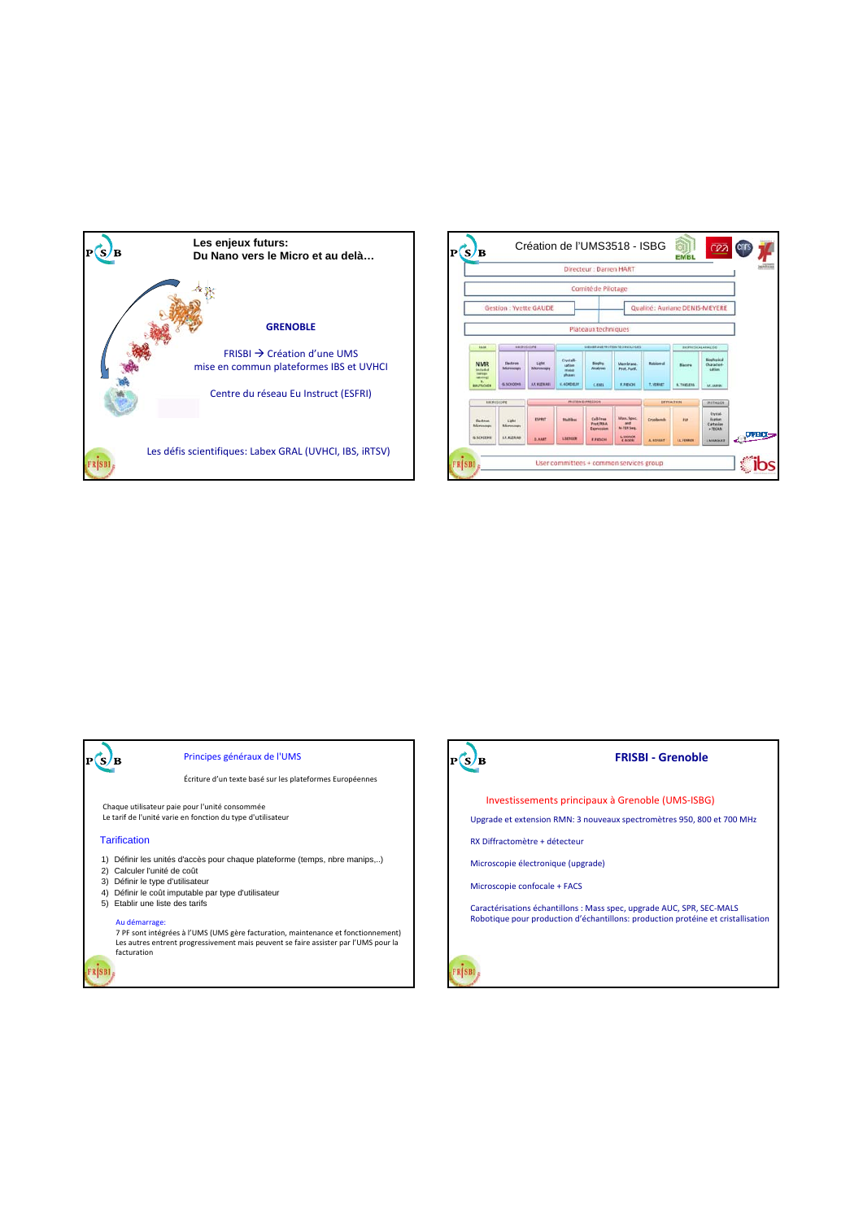



## Principes généraux de l'UMS

Écriture d'un texte basé sur les plateformes Européennes

Chaque utilisateur paie pour l'unité consommée Le tarif de l'unité varie en fonction du type d'utilisateur

### **Tarification**

 $_{\rm P}(s)_{\rm B}$ 

RSBI

- 1) Définir les unités d'accès pour chaque plateforme (temps, nbre manips,..)
- 2) Calculer l'unité de coût
- 3) Définir le type d'utilisateur
- 4) Définir le coût imputable par type d'utilisateur
- 5) Etablir une liste des tarifs

Au démarrage: 7 PF sont intégrées à l'UMS (UMS gère facturation, maintenance et fonctionnement) Les autres entrent progressivement mais peuvent se faire assister par l'UMS pour la facturation

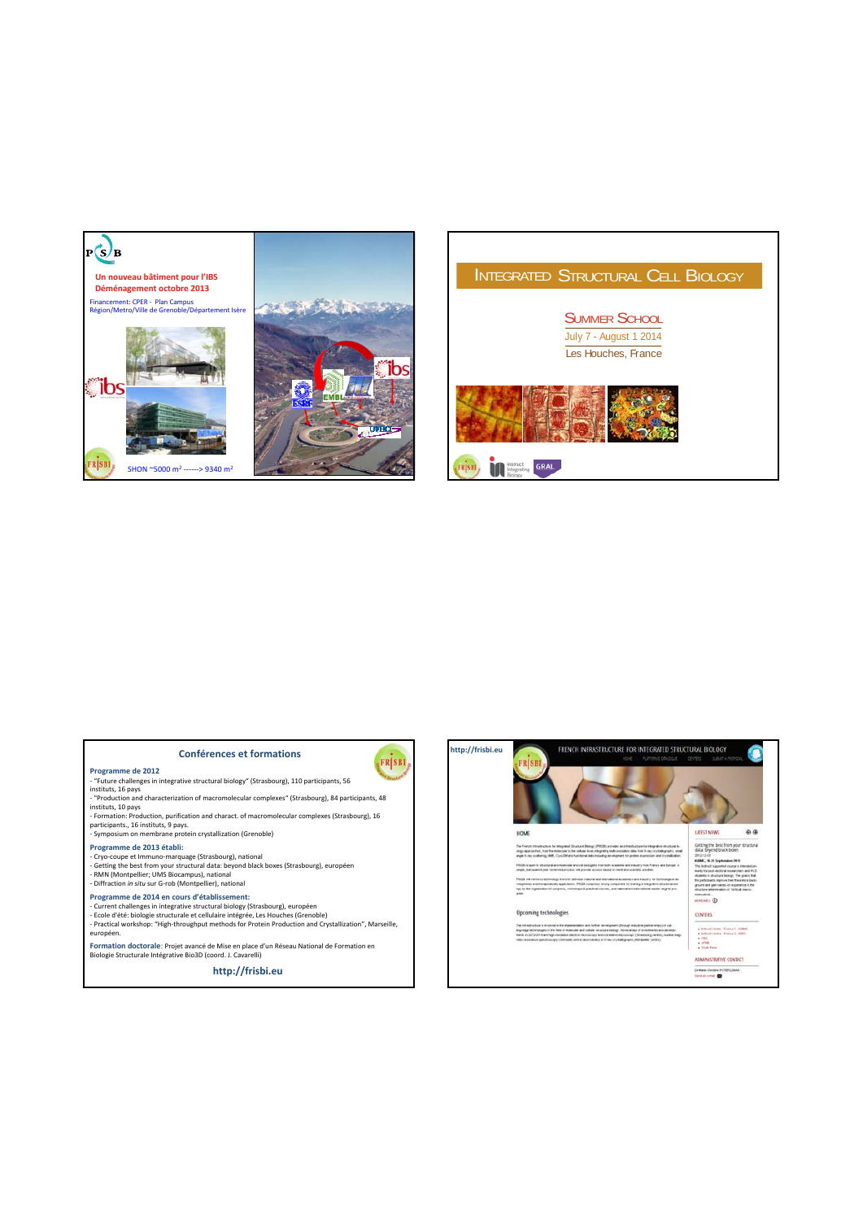

FRSBI

## **Conférences et formations**

- Programme de 2012<br>- "Future challenges in integrative structural biology" (Strasbourg), 110 participants, 56<br>instituts, 16 pays<br>- "Production and characterization of macromolecular complexes" (Strasbourg), 84 participants,
- instituts, 10 pays<br>- Formation: Production, purification and charact. of macromolecular complexes (Strasbourg), 16<br>participants., 16 instituts, 9 pays.<br>- Symposium on membrane protein crystallization (Grenoble)
- 

## **Programme de 2013 établi:**

- 
- Cryo-coupe et Immuno-marquage (Strasbourg), national<br>- Getting the best from your structural data: beyond black boxes (Strasbourg), européen<br>- RMN (Montpellier; UMS Biocampus), national<br>- Diffraction *in situ* sur G-rob
- 

### **Programme de 2014 en cours d'établissement:**

- Current challenges in integrative structural biology (Strasbourg), européen<br>- Ecole d'été: biologie structurale et cellulaire intégrée, Les Houches (Grenoble)<br>- Practical workshop: "High-throughput methods for Protein Pr
- européen.
- **Formation doctorale**: Projet avancé de Mise en place d'un Réseau National de Formation en Biologie Structurale Intégrative Bio3D (coord. J. Cavarelli)

**http://frisbi.eu**